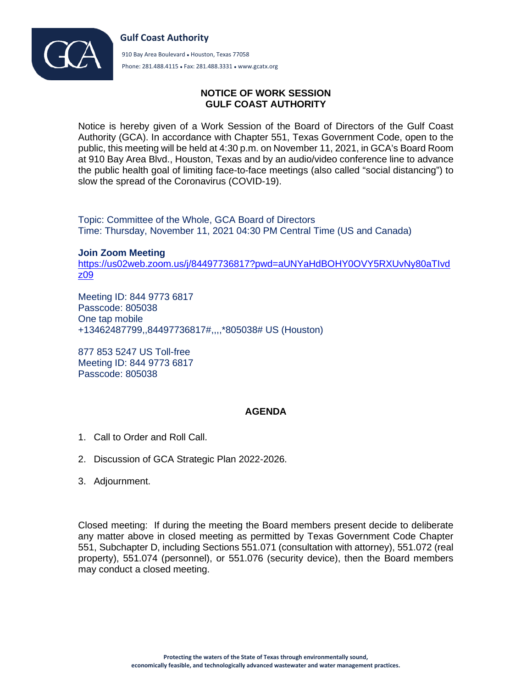



910 Bay Area Boulevard • Houston, Texas 77058 Phone: 281.488.4115 ● Fax: 281.488.3331 ● www.gcatx.org

## **NOTICE OF WORK SESSION GULF COAST AUTHORITY**

Notice is hereby given of a Work Session of the Board of Directors of the Gulf Coast Authority (GCA). In accordance with Chapter 551, Texas Government Code, open to the public, this meeting will be held at 4:30 p.m. on November 11, 2021, in GCA's Board Room at 910 Bay Area Blvd., Houston, Texas and by an audio/video conference line to advance the public health goal of limiting face-to-face meetings (also called "social distancing") to slow the spread of the Coronavirus (COVID-19).

Topic: Committee of the Whole, GCA Board of Directors Time: Thursday, November 11, 2021 04:30 PM Central Time (US and Canada)

**Join Zoom Meeting** [https://us02web.zoom.us/j/84497736817?pwd=aUNYaHdBOHY0OVY5RXUvNy80aTIvd](https://us02web.zoom.us/j/84497736817?pwd=aUNYaHdBOHY0OVY5RXUvNy80aTIvdz09) [z09](https://us02web.zoom.us/j/84497736817?pwd=aUNYaHdBOHY0OVY5RXUvNy80aTIvdz09)

Meeting ID: 844 9773 6817 Passcode: 805038 One tap mobile +13462487799,,84497736817#,,,,\*805038# US (Houston)

877 853 5247 US Toll-free Meeting ID: 844 9773 6817 Passcode: 805038

## **AGENDA**

- 1. Call to Order and Roll Call.
- 2. Discussion of GCA Strategic Plan 2022-2026.
- 3. Adjournment.

Closed meeting: If during the meeting the Board members present decide to deliberate any matter above in closed meeting as permitted by Texas Government Code Chapter 551, Subchapter D, including Sections 551.071 (consultation with attorney), 551.072 (real property), 551.074 (personnel), or 551.076 (security device), then the Board members may conduct a closed meeting.